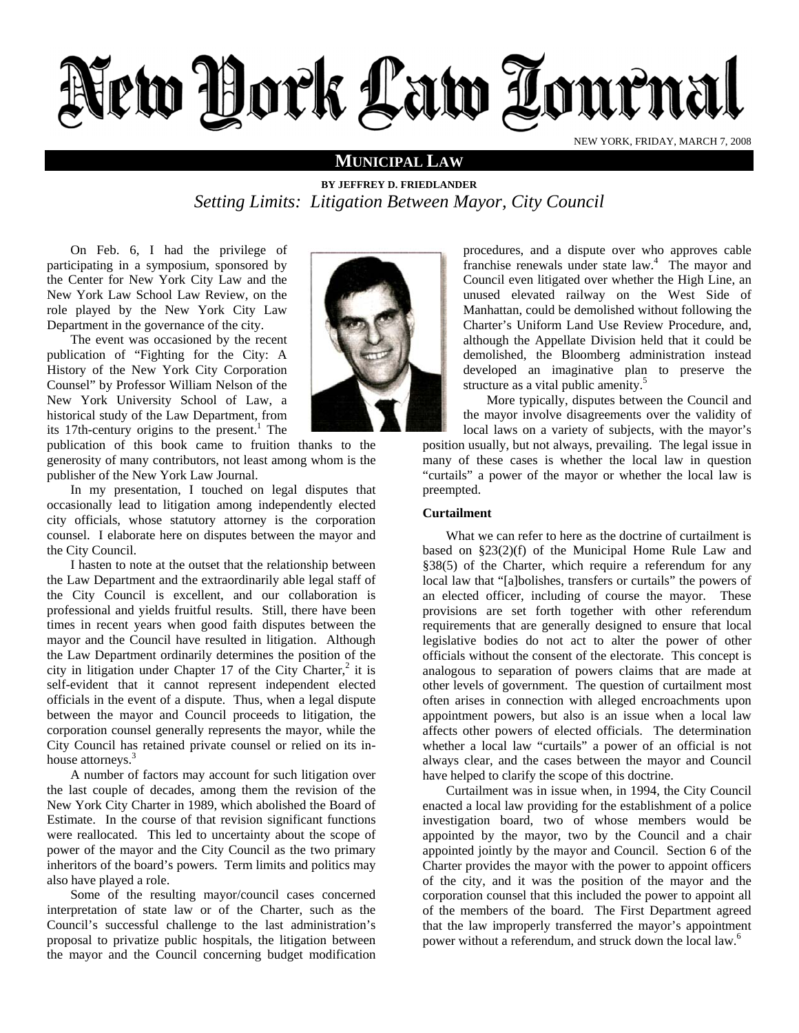# ew York Law Zournal NEW YORK, FRIDAY, MARCH 7, 2008

### **MUNICIPAL LAW**

**BY JEFFREY D. FRIEDLANDER**  *Setting Limits: Litigation Between Mayor, City Council* 

On Feb. 6, I had the privilege of participating in a symposium, sponsored by the Center for New York City Law and the New York Law School Law Review, on the role played by the New York City Law Department in the governance of the city.

The event was occasioned by the recent publication of "Fighting for the City: A History of the New York City Corporation Counsel" by Professor William Nelson of the New York University School of Law, a historical study of the Law Department, from its 17th-century origins to the present.<sup>1</sup> The

publication of this book came to fruition thanks to the generosity of many contributors, not least among whom is the publisher of the New York Law Journal.

In my presentation, I touched on legal disputes that occasionally lead to litigation among independently elected city officials, whose statutory attorney is the corporation counsel. I elaborate here on disputes between the mayor and the City Council.

I hasten to note at the outset that the relationship between the Law Department and the extraordinarily able legal staff of the City Council is excellent, and our collaboration is professional and yields fruitful results. Still, there have been times in recent years when good faith disputes between the mayor and the Council have resulted in litigation. Although the Law Department ordinarily determines the position of the city in litigation under Chapter 17 of the City Charter, $2$  it is self-evident that it cannot represent independent elected officials in the event of a dispute. Thus, when a legal dispute between the mayor and Council proceeds to litigation, the corporation counsel generally represents the mayor, while the City Council has retained private counsel or relied on its inhouse attorneys.<sup>3</sup>

A number of factors may account for such litigation over the last couple of decades, among them the revision of the New York City Charter in 1989, which abolished the Board of Estimate. In the course of that revision significant functions were reallocated. This led to uncertainty about the scope of power of the mayor and the City Council as the two primary inheritors of the board's powers. Term limits and politics may also have played a role.

Some of the resulting mayor/council cases concerned interpretation of state law or of the Charter, such as the Council's successful challenge to the last administration's proposal to privatize public hospitals, the litigation between the mayor and the Council concerning budget modification



procedures, and a dispute over who approves cable franchise renewals under state law.<sup>4</sup> The mayor and Council even litigated over whether the High Line, an unused elevated railway on the West Side of Manhattan, could be demolished without following the Charter's Uniform Land Use Review Procedure, and, although the Appellate Division held that it could be demolished, the Bloomberg administration instead developed an imaginative plan to preserve the structure as a vital public amenity.<sup>5</sup>

More typically, disputes between the Council and the mayor involve disagreements over the validity of local laws on a variety of subjects, with the mayor's

position usually, but not always, prevailing. The legal issue in many of these cases is whether the local law in question "curtails" a power of the mayor or whether the local law is preempted.

#### **Curtailment**

What we can refer to here as the doctrine of curtailment is based on §23(2)(f) of the Municipal Home Rule Law and §38(5) of the Charter, which require a referendum for any local law that "[a]bolishes, transfers or curtails" the powers of an elected officer, including of course the mayor. These provisions are set forth together with other referendum requirements that are generally designed to ensure that local legislative bodies do not act to alter the power of other officials without the consent of the electorate. This concept is analogous to separation of powers claims that are made at other levels of government. The question of curtailment most often arises in connection with alleged encroachments upon appointment powers, but also is an issue when a local law affects other powers of elected officials. The determination whether a local law "curtails" a power of an official is not always clear, and the cases between the mayor and Council have helped to clarify the scope of this doctrine.

Curtailment was in issue when, in 1994, the City Council enacted a local law providing for the establishment of a police investigation board, two of whose members would be appointed by the mayor, two by the Council and a chair appointed jointly by the mayor and Council. Section 6 of the Charter provides the mayor with the power to appoint officers of the city, and it was the position of the mayor and the corporation counsel that this included the power to appoint all of the members of the board. The First Department agreed that the law improperly transferred the mayor's appointment power without a referendum, and struck down the local law.<sup>6</sup>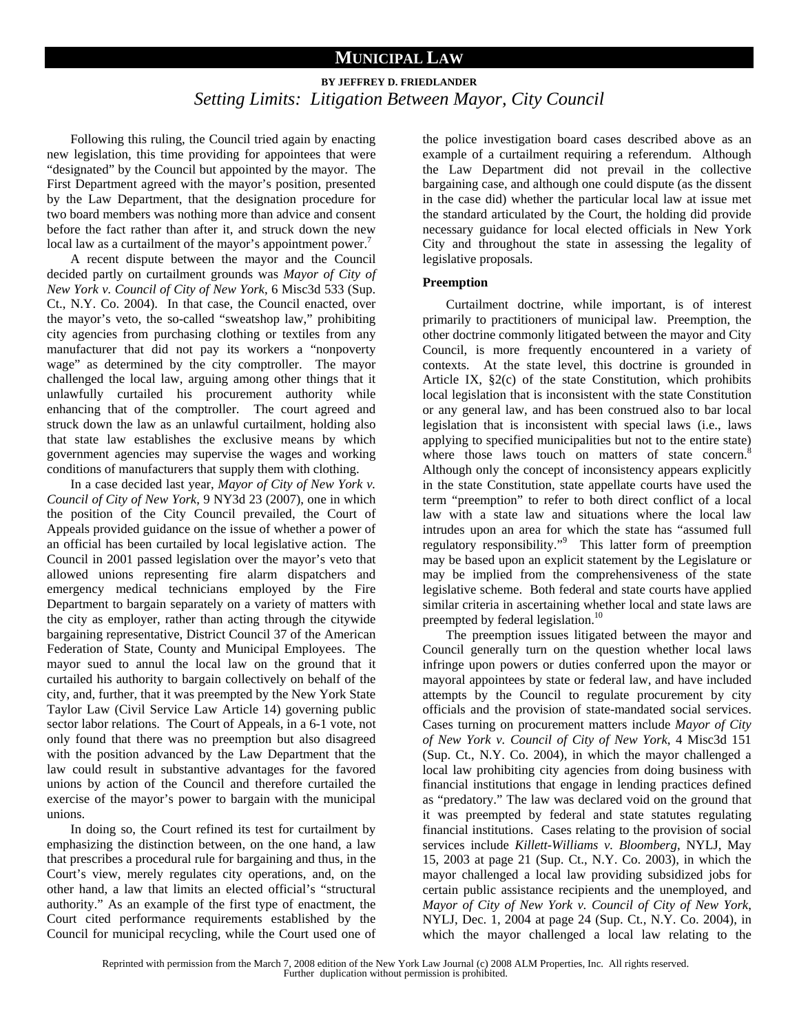## **MUNICIPAL LAW**

# **BY JEFFREY D. FRIEDLANDER**  *Setting Limits: Litigation Between Mayor, City Council*

Following this ruling, the Council tried again by enacting new legislation, this time providing for appointees that were "designated" by the Council but appointed by the mayor. The First Department agreed with the mayor's position, presented by the Law Department, that the designation procedure for two board members was nothing more than advice and consent before the fact rather than after it, and struck down the new local law as a curtailment of the mayor's appointment power.<sup>7</sup>

A recent dispute between the mayor and the Council decided partly on curtailment grounds was *Mayor of City of New York v. Council of City of New York*, 6 Misc3d 533 (Sup. Ct., N.Y. Co. 2004). In that case, the Council enacted, over the mayor's veto, the so-called "sweatshop law," prohibiting city agencies from purchasing clothing or textiles from any manufacturer that did not pay its workers a "nonpoverty wage" as determined by the city comptroller. The mayor challenged the local law, arguing among other things that it unlawfully curtailed his procurement authority while enhancing that of the comptroller. The court agreed and struck down the law as an unlawful curtailment, holding also that state law establishes the exclusive means by which government agencies may supervise the wages and working conditions of manufacturers that supply them with clothing.

In a case decided last year, *Mayor of City of New York v. Council of City of New York*, 9 NY3d 23 (2007), one in which the position of the City Council prevailed, the Court of Appeals provided guidance on the issue of whether a power of an official has been curtailed by local legislative action. The Council in 2001 passed legislation over the mayor's veto that allowed unions representing fire alarm dispatchers and emergency medical technicians employed by the Fire Department to bargain separately on a variety of matters with the city as employer, rather than acting through the citywide bargaining representative, District Council 37 of the American Federation of State, County and Municipal Employees. The mayor sued to annul the local law on the ground that it curtailed his authority to bargain collectively on behalf of the city, and, further, that it was preempted by the New York State Taylor Law (Civil Service Law Article 14) governing public sector labor relations. The Court of Appeals, in a 6-1 vote, not only found that there was no preemption but also disagreed with the position advanced by the Law Department that the law could result in substantive advantages for the favored unions by action of the Council and therefore curtailed the exercise of the mayor's power to bargain with the municipal unions.

In doing so, the Court refined its test for curtailment by emphasizing the distinction between, on the one hand, a law that prescribes a procedural rule for bargaining and thus, in the Court's view, merely regulates city operations, and, on the other hand, a law that limits an elected official's "structural authority." As an example of the first type of enactment, the Court cited performance requirements established by the Council for municipal recycling, while the Court used one of

the police investigation board cases described above as an example of a curtailment requiring a referendum. Although the Law Department did not prevail in the collective bargaining case, and although one could dispute (as the dissent in the case did) whether the particular local law at issue met the standard articulated by the Court, the holding did provide necessary guidance for local elected officials in New York City and throughout the state in assessing the legality of legislative proposals.

#### **Preemption**

Curtailment doctrine, while important, is of interest primarily to practitioners of municipal law. Preemption, the other doctrine commonly litigated between the mayor and City Council, is more frequently encountered in a variety of contexts. At the state level, this doctrine is grounded in Article IX, §2(c) of the state Constitution, which prohibits local legislation that is inconsistent with the state Constitution or any general law, and has been construed also to bar local legislation that is inconsistent with special laws (i.e., laws applying to specified municipalities but not to the entire state) where those laws touch on matters of state concern.<sup>8</sup> Although only the concept of inconsistency appears explicitly in the state Constitution, state appellate courts have used the term "preemption" to refer to both direct conflict of a local law with a state law and situations where the local law intrudes upon an area for which the state has "assumed full regulatory responsibility."<sup>9</sup> This latter form of preemption may be based upon an explicit statement by the Legislature or may be implied from the comprehensiveness of the state legislative scheme. Both federal and state courts have applied similar criteria in ascertaining whether local and state laws are preempted by federal legislation.<sup>10</sup>

The preemption issues litigated between the mayor and Council generally turn on the question whether local laws infringe upon powers or duties conferred upon the mayor or mayoral appointees by state or federal law, and have included attempts by the Council to regulate procurement by city officials and the provision of state-mandated social services. Cases turning on procurement matters include *Mayor of City of New York v. Council of City of New York*, 4 Misc3d 151 (Sup. Ct., N.Y. Co. 2004), in which the mayor challenged a local law prohibiting city agencies from doing business with financial institutions that engage in lending practices defined as "predatory." The law was declared void on the ground that it was preempted by federal and state statutes regulating financial institutions. Cases relating to the provision of social services include *Killett-Williams v. Bloomberg*, NYLJ, May 15, 2003 at page 21 (Sup. Ct., N.Y. Co. 2003), in which the mayor challenged a local law providing subsidized jobs for certain public assistance recipients and the unemployed, and *Mayor of City of New York v. Council of City of New York*, NYLJ, Dec. 1, 2004 at page 24 (Sup. Ct., N.Y. Co. 2004), in which the mayor challenged a local law relating to the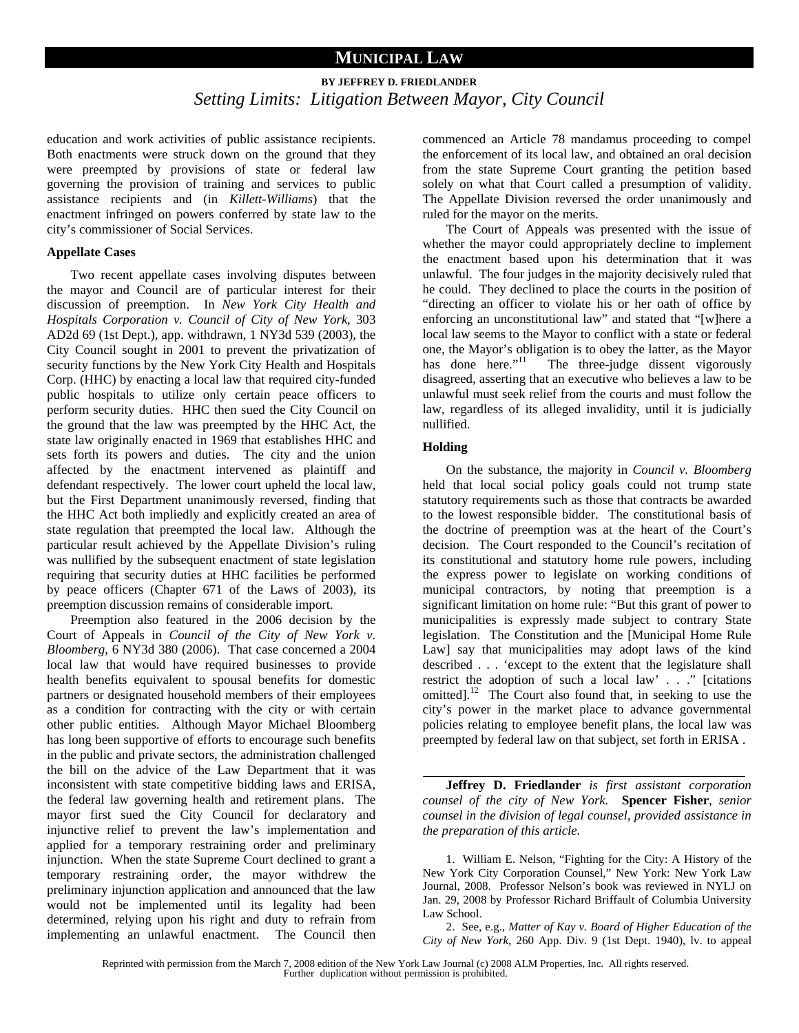## **MUNICIPAL LAW**

# **BY JEFFREY D. FRIEDLANDER**  *Setting Limits: Litigation Between Mayor, City Council*

education and work activities of public assistance recipients. Both enactments were struck down on the ground that they were preempted by provisions of state or federal law governing the provision of training and services to public assistance recipients and (in *Killett-Williams*) that the enactment infringed on powers conferred by state law to the city's commissioner of Social Services.

#### **Appellate Cases**

Two recent appellate cases involving disputes between the mayor and Council are of particular interest for their discussion of preemption. In *New York City Health and Hospitals Corporation v. Council of City of New York*, 303 AD2d 69 (1st Dept.), app. withdrawn, 1 NY3d 539 (2003), the City Council sought in 2001 to prevent the privatization of security functions by the New York City Health and Hospitals Corp. (HHC) by enacting a local law that required city-funded public hospitals to utilize only certain peace officers to perform security duties. HHC then sued the City Council on the ground that the law was preempted by the HHC Act, the state law originally enacted in 1969 that establishes HHC and sets forth its powers and duties. The city and the union affected by the enactment intervened as plaintiff and defendant respectively. The lower court upheld the local law, but the First Department unanimously reversed, finding that the HHC Act both impliedly and explicitly created an area of state regulation that preempted the local law. Although the particular result achieved by the Appellate Division's ruling was nullified by the subsequent enactment of state legislation requiring that security duties at HHC facilities be performed by peace officers (Chapter 671 of the Laws of 2003), its preemption discussion remains of considerable import.

Preemption also featured in the 2006 decision by the Court of Appeals in *Council of the City of New York v. Bloomberg*, 6 NY3d 380 (2006). That case concerned a 2004 local law that would have required businesses to provide health benefits equivalent to spousal benefits for domestic partners or designated household members of their employees as a condition for contracting with the city or with certain other public entities. Although Mayor Michael Bloomberg has long been supportive of efforts to encourage such benefits in the public and private sectors, the administration challenged the bill on the advice of the Law Department that it was inconsistent with state competitive bidding laws and ERISA, the federal law governing health and retirement plans. The mayor first sued the City Council for declaratory and injunctive relief to prevent the law's implementation and applied for a temporary restraining order and preliminary injunction. When the state Supreme Court declined to grant a temporary restraining order, the mayor withdrew the preliminary injunction application and announced that the law would not be implemented until its legality had been determined, relying upon his right and duty to refrain from implementing an unlawful enactment. The Council then

commenced an Article 78 mandamus proceeding to compel the enforcement of its local law, and obtained an oral decision from the state Supreme Court granting the petition based solely on what that Court called a presumption of validity. The Appellate Division reversed the order unanimously and ruled for the mayor on the merits.

The Court of Appeals was presented with the issue of whether the mayor could appropriately decline to implement the enactment based upon his determination that it was unlawful. The four judges in the majority decisively ruled that he could. They declined to place the courts in the position of "directing an officer to violate his or her oath of office by enforcing an unconstitutional law" and stated that "[w]here a local law seems to the Mayor to conflict with a state or federal one, the Mayor's obligation is to obey the latter, as the Mayor has done here." $\frac{1}{1}$  The three-judge dissent vigorously disagreed, asserting that an executive who believes a law to be unlawful must seek relief from the courts and must follow the law, regardless of its alleged invalidity, until it is judicially nullified.

#### **Holding**

On the substance, the majority in *Council v. Bloomberg* held that local social policy goals could not trump state statutory requirements such as those that contracts be awarded to the lowest responsible bidder. The constitutional basis of the doctrine of preemption was at the heart of the Court's decision. The Court responded to the Council's recitation of its constitutional and statutory home rule powers, including the express power to legislate on working conditions of municipal contractors, by noting that preemption is a significant limitation on home rule: "But this grant of power to municipalities is expressly made subject to contrary State legislation. The Constitution and the [Municipal Home Rule Law] say that municipalities may adopt laws of the kind described . . . 'except to the extent that the legislature shall restrict the adoption of such a local law' . . ." [citations omitted].<sup>12</sup> The Court also found that, in seeking to use the city's power in the market place to advance governmental policies relating to employee benefit plans, the local law was preempted by federal law on that subject, set forth in ERISA .

**Jeffrey D. Friedlander** *is first assistant corporation counsel of the city of New York.* **Spencer Fisher**, *senior counsel in the division of legal counsel, provided assistance in the preparation of this article.* 

1. William E. Nelson, "Fighting for the City: A History of the New York City Corporation Counsel," New York: New York Law Journal, 2008. Professor Nelson's book was reviewed in NYLJ on Jan. 29, 2008 by Professor Richard Briffault of Columbia University Law School.

2. See, e.g., *Matter of Kay v. Board of Higher Education of the City of New York*, 260 App. Div. 9 (1st Dept. 1940), lv. to appeal